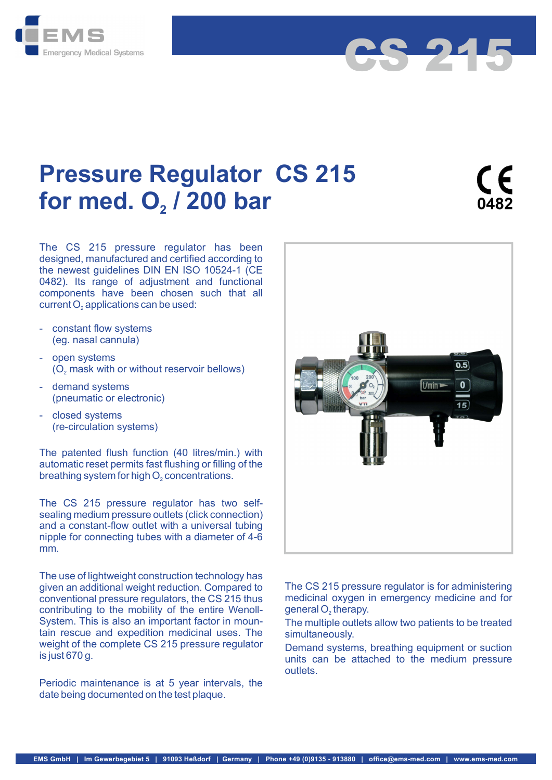



The CS 215 pressure regulator has been designed, manufactured and certified according to the newest guidelines DIN EN ISO 10524-1 (CE 0482). Its range of adjustment and functional components have been chosen such that all

- constant flow systems (eg. nasal cannula)
- open systems
- demand systems (pneumatic or electronic)
- (re-circulation systems)

The patented flush function (40 litres/min.) with automatic reset permits fast flushing or filling of the

The CS 215 pressure regulator has two selfsealing medium pressure outlets (click connection) and a constant-flow outlet with a universal tubing nipple for connecting tubes with a diameter of 4-6 mm.

The use of lightweight construction technology has given an additional weight reduction. Compared to conventional pressure regulators, the CS 215 thus contributing to the mobility of the entire Wenoll-System. This is also an important factor in mountain rescue and expedition medicinal uses. The weight of the complete CS 215 pressure regulator Demand systems, breathing equipment or suction is just 670 g.

Periodic maintenance is at 5 year intervals, the date being documented on the test plaque.



CS 215

The CS 215 pressure regulator is for administering medicinal oxygen in emergency medicine and for

The multiple outlets allow two patients to be treated simultaneously.

units can be attached to the medium pressure outlets.